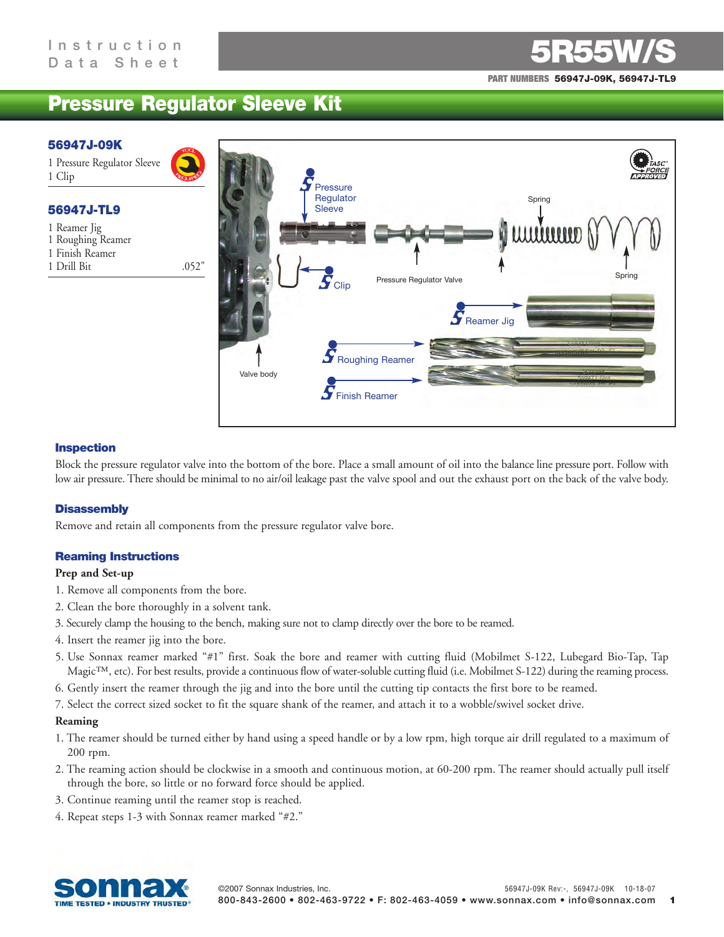**PART NUMBERS 56947J-09K, 56947J-TL9**

# **Pressure Regulator Sleeve Kit**

#### **56947J-09K**

1 Pressure Regulator Sleeve 1 Clip

# **56947J-TL9**

- 1 Reamer Jig
- 1 Roughing Reamer
- 1 Finish Reamer
- 1 Drill Bit .052"



# **Inspection**

Block the pressure regulator valve into the bottom of the bore. Place a small amount of oil into the balance line pressure port. Follow with low air pressure. There should be minimal to no air/oil leakage past the valve spool and out the exhaust port on the back of the valve body.

# **Disassembly**

Remove and retain all components from the pressure regulator valve bore.

# **Reaming Instructions**

#### **Prep and Set-up**

- 1. Remove all components from the bore.
- 2. Clean the bore thoroughly in a solvent tank.
- 3. Securely clamp the housing to the bench, making sure not to clamp directly over the bore to be reamed.
- 4. Insert the reamer jig into the bore.
- 5. Use Sonnax reamer marked "#1" first. Soak the bore and reamer with cutting fluid (Mobilmet S-122, Lubegard Bio-Tap, Tap Magic™, etc). For best results, provide a continuous flow of water-soluble cutting fluid (i.e. Mobilmet S-122) during the reaming process.
- 6. Gently insert the reamer through the jig and into the bore until the cutting tip contacts the first bore to be reamed.
- 7. Select the correct sized socket to fit the square shank of the reamer, and attach it to a wobble/swivel socket drive.

#### **Reaming**

- 1. The reamer should be turned either by hand using a speed handle or by a low rpm, high torque air drill regulated to a maximum of 200 rpm.
- 2. The reaming action should be clockwise in a smooth and continuous motion, at 60-200 rpm. The reamer should actually pull itself through the bore, so little or no forward force should be applied.
- 3. Continue reaming until the reamer stop is reached.
- 4. Repeat steps 1-3 with Sonnax reamer marked "#2."